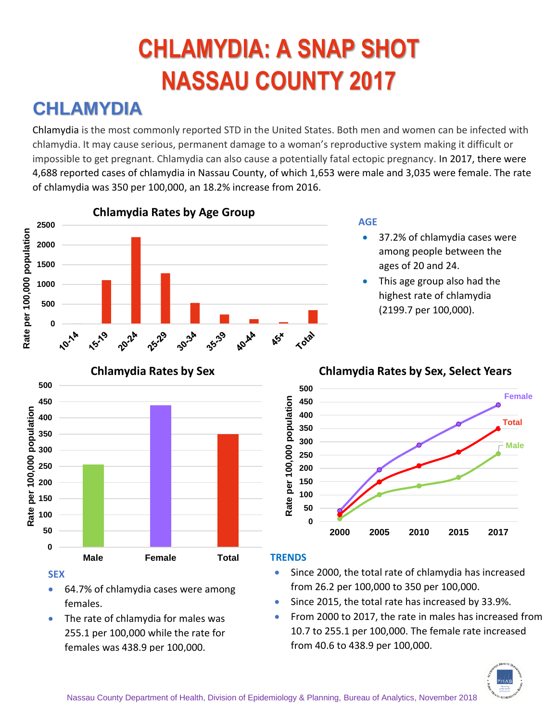# **CHLAMYDIA: A SNAP SHOT NASSAU COUNTY 2017**

### **CHLAMYDIA**

Chlamydia is the most commonly reported STD in the United States. Both men and women can be infected with chlamydia. It may cause serious, permanent damage to a woman's reproductive system making it difficult or impossible to get pregnant. Chlamydia can also cause a potentially fatal ectopic pregnancy. In 2017, there were 4,688 reported cases of chlamydia in Nassau County, of which 1,653 were male and 3,035 were female. The rate of chlamydia was 350 per 100,000, an 18.2% increase from 2016.



**Male Total**

**SEX** • 64.7% of chlamydia cases were among females.

**Male Female Total**

The rate of chlamydia for males was 255.1 per 100,000 while the rate for females was 438.9 per 100,000.

#### **TRENDS**

**0 50**

• Since 2000, the total rate of chlamydia has increased from 26.2 per 100,000 to 350 per 100,000.

**2000 2005 2010 2015 2017**

- Since 2015, the total rate has increased by 33.9%.
- From 2000 to 2017, the rate in males has increased from 10.7 to 255.1 per 100,000. The female rate increased from 40.6 to 438.9 per 100,000.

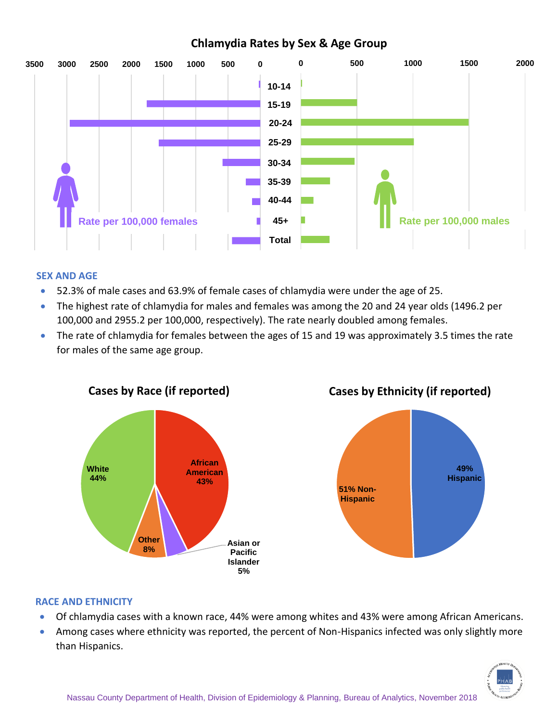#### **Chlamydia Rates by Sex & Age Group**



#### **SEX AND AGE**

- 52.3% of male cases and 63.9% of female cases of chlamydia were under the age of 25.
- The highest rate of chlamydia for males and females was among the 20 and 24 year olds (1496.2 per 100,000 and 2955.2 per 100,000, respectively). The rate nearly doubled among females.
- The rate of chlamydia for females between the ages of 15 and 19 was approximately 3.5 times the rate for males of the same age group.



**Cases by Ethnicity (if reported)**



#### **RACE AND ETHNICITY**

- Of chlamydia cases with a known race, 44% were among whites and 43% were among African Americans.
- Among cases where ethnicity was reported, the percent of Non-Hispanics infected was only slightly more than Hispanics.

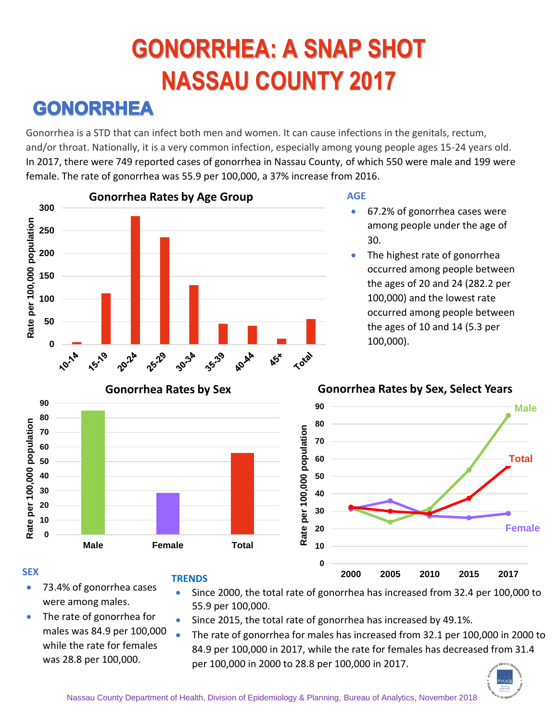# **GONORRHEA: A SNAP SHOT NASSAU COUNTY 2017**

### **GONORRHEA**

Gonorrhea is a STD that can infect both men and women. It can cause infections in the genitals, rectum, and/or throat. Nationally, it is a very common infection, especially among young people ages 15-24 years old. In 2017, there were 749 reported cases of gonorrhea in Nassau County, of which 550 were male and 199 were female. The rate of gonorrhea was 55.9 per 100,000, a 37% increase from 2016.



- 67.2% of gonorrhea cases were among people under the age of 30.
- The highest rate of gonorrhea occurred among people between the ages of 20 and 24 (282.2 per 100,000) and the lowest rate occurred among people between the ages of 10 and 14 (5.3 per 100,000).



#### **SEX**

- 73.4% of gonorrhea cases were among males.
- **TRENDS**
	- Since 2000, the total rate of gonorrhea has increased from 32.4 per 100,000 to 55.9 per 100,000.
- The rate of gonorrhea for males was 84.9 per 100,000 while the rate for females was 28.8 per 100,000.
- Since 2015, the total rate of gonorrhea has increased by 49.1%.
- The rate of gonorrhea for males has increased from 32.1 per 100,000 in 2000 to 84.9 per 100,000 in 2017, while the rate for females has decreased from 31.4 per 100,000 in 2000 to 28.8 per 100,000 in 2017.

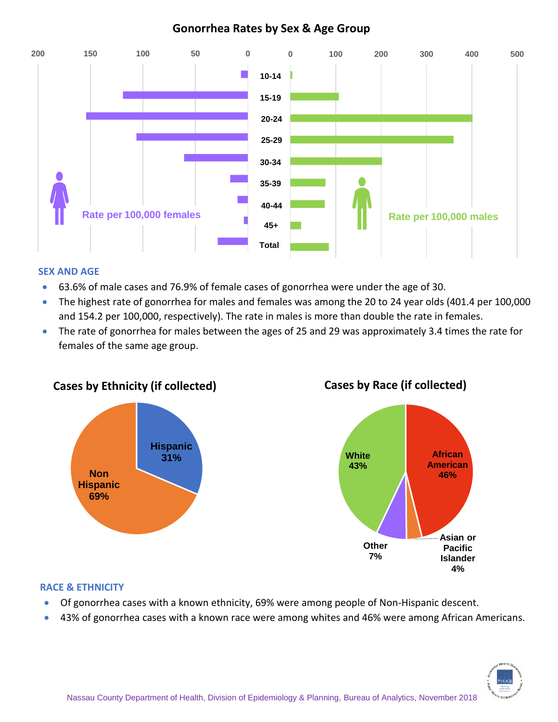#### **Gonorrhea Rates by Sex & Age Group**



#### **SEX AND AGE**

- 63.6% of male cases and 76.9% of female cases of gonorrhea were under the age of 30.
- The highest rate of gonorrhea for males and females was among the 20 to 24 year olds (401.4 per 100,000 and 154.2 per 100,000, respectively). The rate in males is more than double the rate in females.
- The rate of gonorrhea for males between the ages of 25 and 29 was approximately 3.4 times the rate for females of the same age group.



#### **Cases by Race (if collected)**



#### **RACE & ETHNICITY**

- Of gonorrhea cases with a known ethnicity, 69% were among people of Non-Hispanic descent.
- 43% of gonorrhea cases with a known race were among whites and 46% were among African Americans.

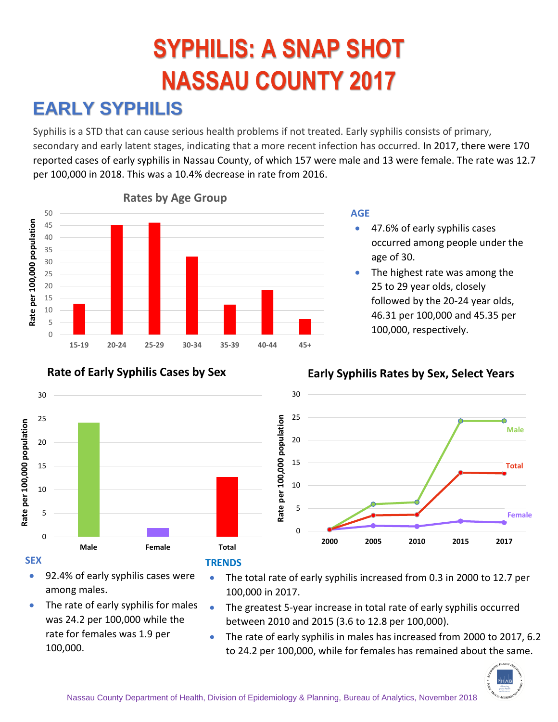# **SYPHILIS: A SNAP SHOT NASSAU COUNTY 2017**

## **EARLY SYPHILIS**

Syphilis is a STD that can cause serious health problems if not treated. Early syphilis consists of primary, secondary and early latent stages, indicating that a more recent infection has occurred. In 2017, there were 170 reported cases of early syphilis in Nassau County, of which 157 were male and 13 were female. The rate was 12.7 per 100,000 in 2018. This was a 10.4% decrease in rate from 2016.



#### **AGE**

- 47.6% of early syphilis cases occurred among people under the age of 30.
- The highest rate was among the 25 to 29 year olds, closely followed by the 20-24 year olds, 46.31 per 100,000 and 45.35 per 100,000, respectively.



#### **Rate of Early Syphilis Cases by Sex**

#### **Early Syphilis Rates by Sex, Select Years**



- 92.4% of early syphilis cases were among males.
- The rate of early syphilis for males was 24.2 per 100,000 while the rate for females was 1.9 per 100,000.
- The total rate of early syphilis increased from 0.3 in 2000 to 12.7 per 100,000 in 2017.
- The greatest 5-year increase in total rate of early syphilis occurred between 2010 and 2015 (3.6 to 12.8 per 100,000).
- The rate of early syphilis in males has increased from 2000 to 2017, 6.2 to 24.2 per 100,000, while for females has remained about the same.

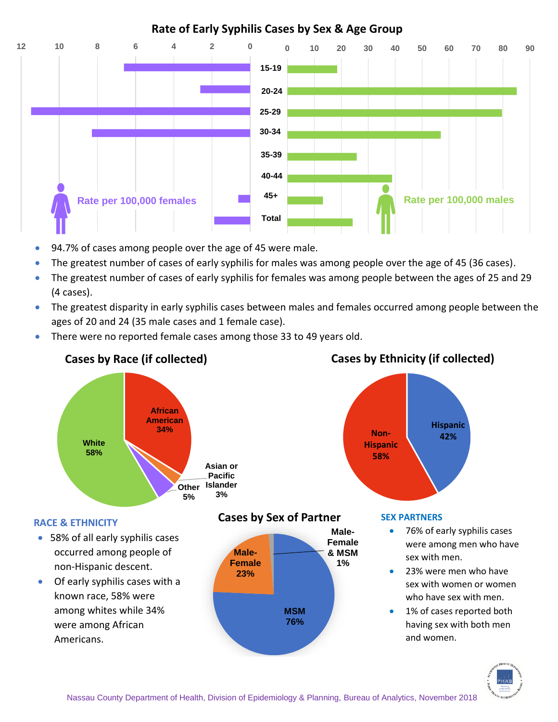#### **Rate of Early Syphilis Cases by Sex & Age Group**



- 94.7% of cases among people over the age of 45 were male.
- The greatest number of cases of early syphilis for males was among people over the age of 45 (36 cases).
- The greatest number of cases of early syphilis for females was among people between the ages of 25 and 29 (4 cases).
- The greatest disparity in early syphilis cases between males and females occurred among people between the ages of 20 and 24 (35 male cases and 1 female case).
- There were no reported female cases among those 33 to 49 years old.



### Nassau County Department of Health, Division of Epidemiology & Planning, Bureau of Analytics, November 2018